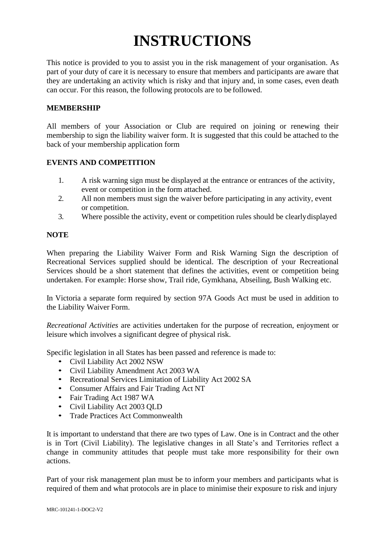# **INSTRUCTIONS**

This notice is provided to you to assist you in the risk management of your organisation. As part of your duty of care it is necessary to ensure that members and participants are aware that they are undertaking an activity which is risky and that injury and, in some cases, even death can occur. For this reason, the following protocols are to be followed.

#### **MEMBERSHIP**

All members of your Association or Club are required on joining or renewing their membership to sign the liability waiver form. It is suggested that this could be attached to the back of your membership application form

#### **EVENTS AND COMPETITION**

- 1. A risk warning sign must be displayed at the entrance or entrances of the activity, event or competition in the form attached.
- 2. All non members must sign the waiver before participating in any activity, event or competition.
- 3. Where possible the activity, event or competition rules should be clearlydisplayed

#### **NOTE**

When preparing the Liability Waiver Form and Risk Warning Sign the description of Recreational Services supplied should be identical. The description of your Recreational Services should be a short statement that defines the activities, event or competition being undertaken. For example: Horse show, Trail ride, Gymkhana, Abseiling, Bush Walking etc.

In Victoria a separate form required by section 97A Goods Act must be used in addition to the Liability Waiver Form.

*Recreational Activities* are activities undertaken for the purpose of recreation, enjoyment or leisure which involves a significant degree of physical risk.

Specific legislation in all States has been passed and reference is made to:

- Civil Liability Act 2002 NSW
- Civil Liability Amendment Act 2003 WA
- Recreational Services Limitation of Liability Act 2002 SA
- Consumer Affairs and Fair Trading Act NT
- Fair Trading Act 1987 WA
- Civil Liability Act 2003 QLD
- Trade Practices Act Commonwealth

It is important to understand that there are two types of Law. One is in Contract and the other is in Tort (Civil Liability). The legislative changes in all State's and Territories reflect a change in community attitudes that people must take more responsibility for their own actions.

Part of your risk management plan must be to inform your members and participants what is required of them and what protocols are in place to minimise their exposure to risk and injury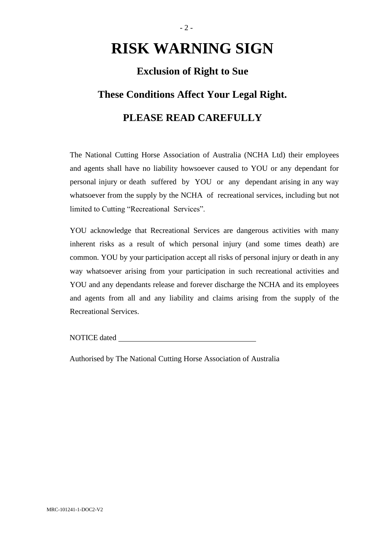# **RISK WARNING SIGN**

## **Exclusion of Right to Sue**

### **These Conditions Affect Your Legal Right.**

# **PLEASE READ CAREFULLY**

The National Cutting Horse Association of Australia (NCHA Ltd) their employees and agents shall have no liability howsoever caused to YOU or any dependant for personal injury or death suffered by YOU or any dependant arising in any way whatsoever from the supply by the NCHA of recreational services, including but not limited to Cutting "Recreational Services".

YOU acknowledge that Recreational Services are dangerous activities with many inherent risks as a result of which personal injury (and some times death) are common. YOU by your participation accept all risks of personal injury or death in any way whatsoever arising from your participation in such recreational activities and YOU and any dependants release and forever discharge the NCHA and its employees and agents from all and any liability and claims arising from the supply of the Recreational Services.

NOTICE dated

Authorised by The National Cutting Horse Association of Australia